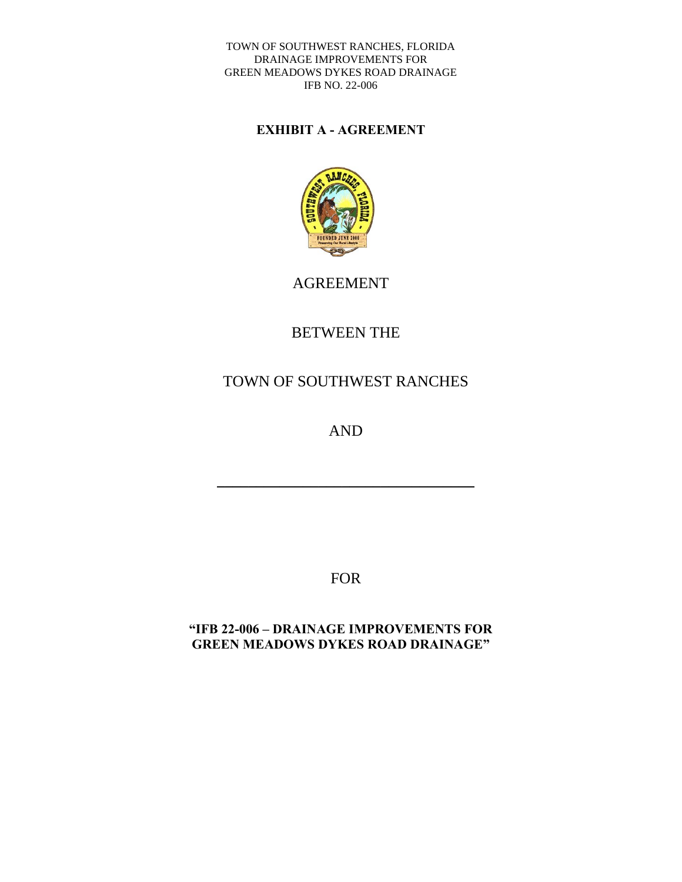## **EXHIBIT A - AGREEMENT**



AGREEMENT

# BETWEEN THE

# TOWN OF SOUTHWEST RANCHES

AND

\_\_\_\_\_\_\_\_\_\_\_\_\_\_\_\_\_\_\_\_\_\_\_\_\_\_\_\_\_\_\_\_\_

FOR

## **"IFB 22-006 – DRAINAGE IMPROVEMENTS FOR GREEN MEADOWS DYKES ROAD DRAINAGE"**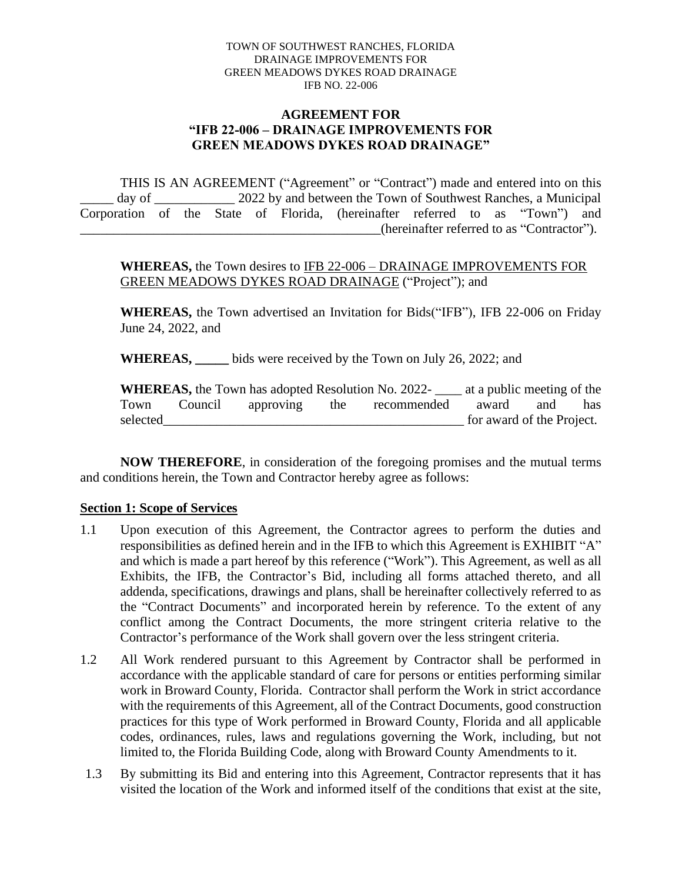### **AGREEMENT FOR "IFB 22-006 – DRAINAGE IMPROVEMENTS FOR GREEN MEADOWS DYKES ROAD DRAINAGE"**

THIS IS AN AGREEMENT ("Agreement" or "Contract") made and entered into on this day of \_\_\_\_\_\_\_\_\_\_\_ 2022 by and between the Town of Southwest Ranches, a Municipal Corporation of the State of Florida, (hereinafter referred to as "Town") and (hereinafter referred to as "Contractor").

**WHEREAS,** the Town desires to IFB 22-006 – DRAINAGE IMPROVEMENTS FOR GREEN MEADOWS DYKES ROAD DRAINAGE ("Project"); and

**WHEREAS,** the Town advertised an Invitation for Bids("IFB"), IFB 22-006 on Friday June 24, 2022, and

**WHEREAS, \_\_\_\_\_** bids were received by the Town on July 26, 2022; and

**WHEREAS,** the Town has adopted Resolution No. 2022- \_\_\_\_ at a public meeting of the Town Council approving the recommended award and has selected for award of the Project.

**NOW THEREFORE**, in consideration of the foregoing promises and the mutual terms and conditions herein, the Town and Contractor hereby agree as follows:

### **Section 1: Scope of Services**

- 1.1 Upon execution of this Agreement, the Contractor agrees to perform the duties and responsibilities as defined herein and in the IFB to which this Agreement is EXHIBIT "A" and which is made a part hereof by this reference ("Work"). This Agreement, as well as all Exhibits, the IFB, the Contractor's Bid, including all forms attached thereto, and all addenda, specifications, drawings and plans, shall be hereinafter collectively referred to as the "Contract Documents" and incorporated herein by reference. To the extent of any conflict among the Contract Documents, the more stringent criteria relative to the Contractor's performance of the Work shall govern over the less stringent criteria.
- 1.2 All Work rendered pursuant to this Agreement by Contractor shall be performed in accordance with the applicable standard of care for persons or entities performing similar work in Broward County, Florida. Contractor shall perform the Work in strict accordance with the requirements of this Agreement, all of the Contract Documents, good construction practices for this type of Work performed in Broward County, Florida and all applicable codes, ordinances, rules, laws and regulations governing the Work, including, but not limited to, the Florida Building Code, along with Broward County Amendments to it.
- 1.3 By submitting its Bid and entering into this Agreement, Contractor represents that it has visited the location of the Work and informed itself of the conditions that exist at the site,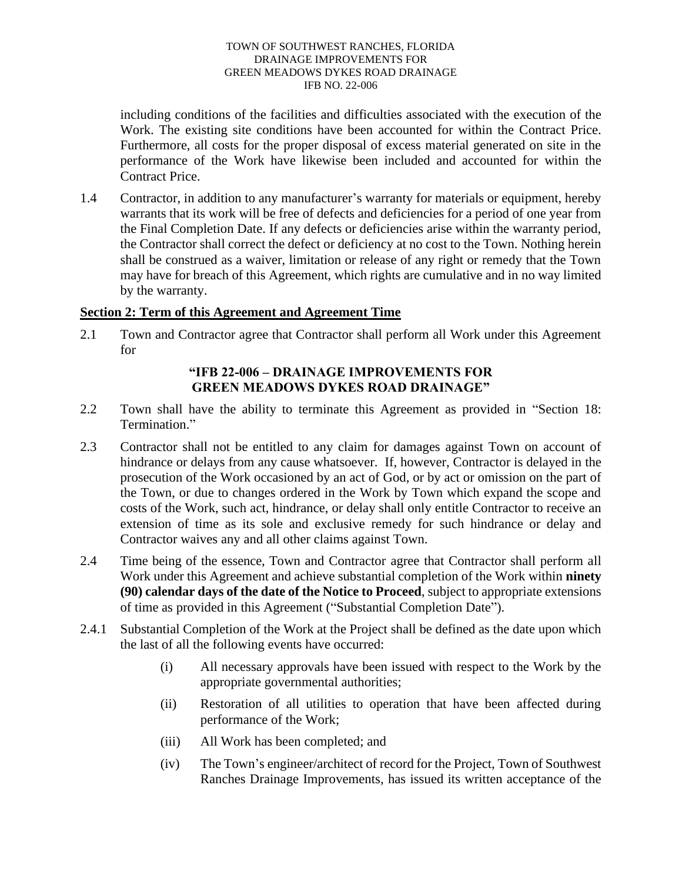including conditions of the facilities and difficulties associated with the execution of the Work. The existing site conditions have been accounted for within the Contract Price. Furthermore, all costs for the proper disposal of excess material generated on site in the performance of the Work have likewise been included and accounted for within the Contract Price.

1.4 Contractor, in addition to any manufacturer's warranty for materials or equipment, hereby warrants that its work will be free of defects and deficiencies for a period of one year from the Final Completion Date. If any defects or deficiencies arise within the warranty period, the Contractor shall correct the defect or deficiency at no cost to the Town. Nothing herein shall be construed as a waiver, limitation or release of any right or remedy that the Town may have for breach of this Agreement, which rights are cumulative and in no way limited by the warranty.

## **Section 2: Term of this Agreement and Agreement Time**

2.1 Town and Contractor agree that Contractor shall perform all Work under this Agreement for

## **"IFB 22-006 – DRAINAGE IMPROVEMENTS FOR GREEN MEADOWS DYKES ROAD DRAINAGE"**

- 2.2 Town shall have the ability to terminate this Agreement as provided in "Section 18: Termination."
- 2.3 Contractor shall not be entitled to any claim for damages against Town on account of hindrance or delays from any cause whatsoever. If, however, Contractor is delayed in the prosecution of the Work occasioned by an act of God, or by act or omission on the part of the Town, or due to changes ordered in the Work by Town which expand the scope and costs of the Work, such act, hindrance, or delay shall only entitle Contractor to receive an extension of time as its sole and exclusive remedy for such hindrance or delay and Contractor waives any and all other claims against Town.
- 2.4 Time being of the essence, Town and Contractor agree that Contractor shall perform all Work under this Agreement and achieve substantial completion of the Work within **ninety (90) calendar days of the date of the Notice to Proceed**, subject to appropriate extensions of time as provided in this Agreement ("Substantial Completion Date").
- 2.4.1 Substantial Completion of the Work at the Project shall be defined as the date upon which the last of all the following events have occurred:
	- (i) All necessary approvals have been issued with respect to the Work by the appropriate governmental authorities;
	- (ii) Restoration of all utilities to operation that have been affected during performance of the Work;
	- (iii) All Work has been completed; and
	- (iv) The Town's engineer/architect of record for the Project, Town of Southwest Ranches Drainage Improvements, has issued its written acceptance of the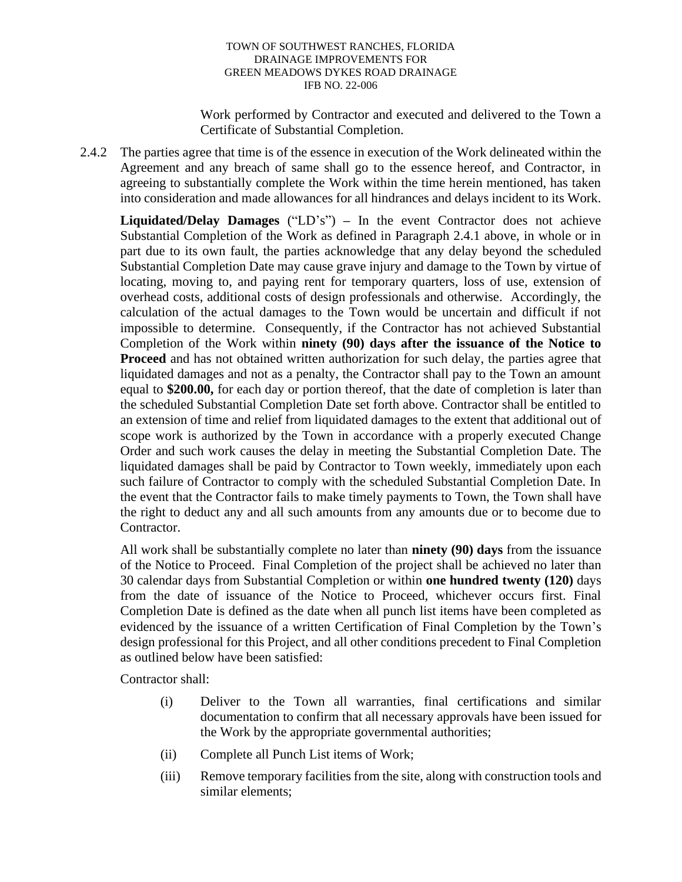Work performed by Contractor and executed and delivered to the Town a Certificate of Substantial Completion.

2.4.2 The parties agree that time is of the essence in execution of the Work delineated within the Agreement and any breach of same shall go to the essence hereof, and Contractor, in agreeing to substantially complete the Work within the time herein mentioned, has taken into consideration and made allowances for all hindrances and delays incident to its Work.

**Liquidated/Delay Damages** ("LD's") **–** In the event Contractor does not achieve Substantial Completion of the Work as defined in Paragraph 2.4.1 above, in whole or in part due to its own fault, the parties acknowledge that any delay beyond the scheduled Substantial Completion Date may cause grave injury and damage to the Town by virtue of locating, moving to, and paying rent for temporary quarters, loss of use, extension of overhead costs, additional costs of design professionals and otherwise. Accordingly, the calculation of the actual damages to the Town would be uncertain and difficult if not impossible to determine. Consequently, if the Contractor has not achieved Substantial Completion of the Work within **ninety (90) days after the issuance of the Notice to Proceed** and has not obtained written authorization for such delay, the parties agree that liquidated damages and not as a penalty, the Contractor shall pay to the Town an amount equal to **\$200.00,** for each day or portion thereof, that the date of completion is later than the scheduled Substantial Completion Date set forth above. Contractor shall be entitled to an extension of time and relief from liquidated damages to the extent that additional out of scope work is authorized by the Town in accordance with a properly executed Change Order and such work causes the delay in meeting the Substantial Completion Date. The liquidated damages shall be paid by Contractor to Town weekly, immediately upon each such failure of Contractor to comply with the scheduled Substantial Completion Date. In the event that the Contractor fails to make timely payments to Town, the Town shall have the right to deduct any and all such amounts from any amounts due or to become due to Contractor.

All work shall be substantially complete no later than **ninety (90) days** from the issuance of the Notice to Proceed. Final Completion of the project shall be achieved no later than 30 calendar days from Substantial Completion or within **one hundred twenty (120)** days from the date of issuance of the Notice to Proceed, whichever occurs first. Final Completion Date is defined as the date when all punch list items have been completed as evidenced by the issuance of a written Certification of Final Completion by the Town's design professional for this Project, and all other conditions precedent to Final Completion as outlined below have been satisfied:

Contractor shall:

- (i) Deliver to the Town all warranties, final certifications and similar documentation to confirm that all necessary approvals have been issued for the Work by the appropriate governmental authorities;
- (ii) Complete all Punch List items of Work;
- (iii) Remove temporary facilities from the site, along with construction tools and similar elements;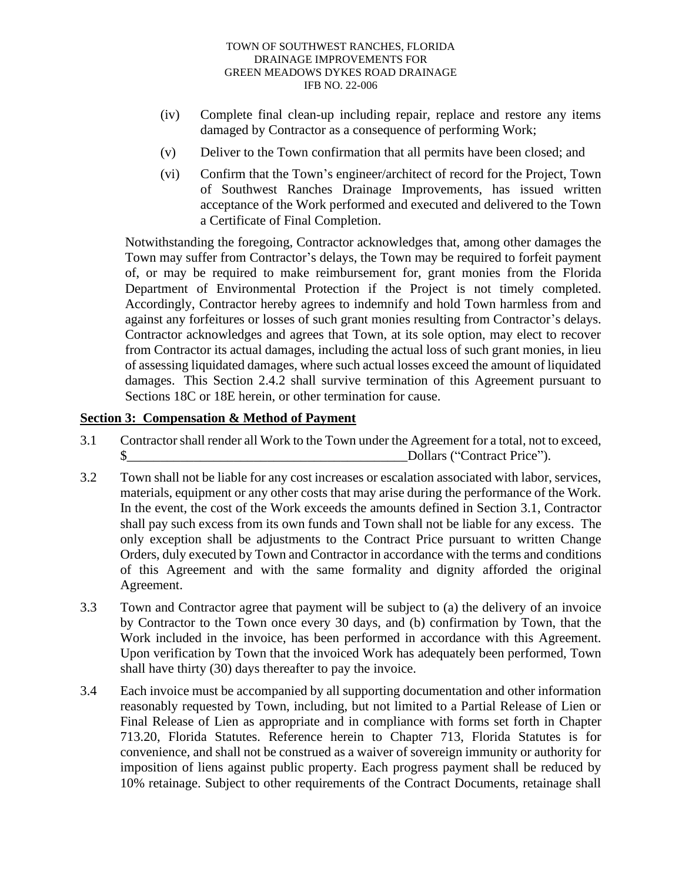- (iv) Complete final clean-up including repair, replace and restore any items damaged by Contractor as a consequence of performing Work;
- (v) Deliver to the Town confirmation that all permits have been closed; and
- (vi) Confirm that the Town's engineer/architect of record for the Project, Town of Southwest Ranches Drainage Improvements, has issued written acceptance of the Work performed and executed and delivered to the Town a Certificate of Final Completion.

Notwithstanding the foregoing, Contractor acknowledges that, among other damages the Town may suffer from Contractor's delays, the Town may be required to forfeit payment of, or may be required to make reimbursement for, grant monies from the Florida Department of Environmental Protection if the Project is not timely completed. Accordingly, Contractor hereby agrees to indemnify and hold Town harmless from and against any forfeitures or losses of such grant monies resulting from Contractor's delays. Contractor acknowledges and agrees that Town, at its sole option, may elect to recover from Contractor its actual damages, including the actual loss of such grant monies, in lieu of assessing liquidated damages, where such actual losses exceed the amount of liquidated damages. This Section 2.4.2 shall survive termination of this Agreement pursuant to Sections 18C or 18E herein, or other termination for cause.

### **Section 3: Compensation & Method of Payment**

- 3.1 Contractor shall render all Work to the Town under the Agreement for a total, not to exceed,  $\text{S}$  Dollars ("Contract Price").
- 3.2 Town shall not be liable for any cost increases or escalation associated with labor, services, materials, equipment or any other costs that may arise during the performance of the Work. In the event, the cost of the Work exceeds the amounts defined in Section 3.1, Contractor shall pay such excess from its own funds and Town shall not be liable for any excess. The only exception shall be adjustments to the Contract Price pursuant to written Change Orders, duly executed by Town and Contractor in accordance with the terms and conditions of this Agreement and with the same formality and dignity afforded the original Agreement.
- 3.3 Town and Contractor agree that payment will be subject to (a) the delivery of an invoice by Contractor to the Town once every 30 days, and (b) confirmation by Town, that the Work included in the invoice, has been performed in accordance with this Agreement. Upon verification by Town that the invoiced Work has adequately been performed, Town shall have thirty (30) days thereafter to pay the invoice.
- 3.4 Each invoice must be accompanied by all supporting documentation and other information reasonably requested by Town, including, but not limited to a Partial Release of Lien or Final Release of Lien as appropriate and in compliance with forms set forth in Chapter 713.20, Florida Statutes. Reference herein to Chapter 713, Florida Statutes is for convenience, and shall not be construed as a waiver of sovereign immunity or authority for imposition of liens against public property. Each progress payment shall be reduced by 10% retainage. Subject to other requirements of the Contract Documents, retainage shall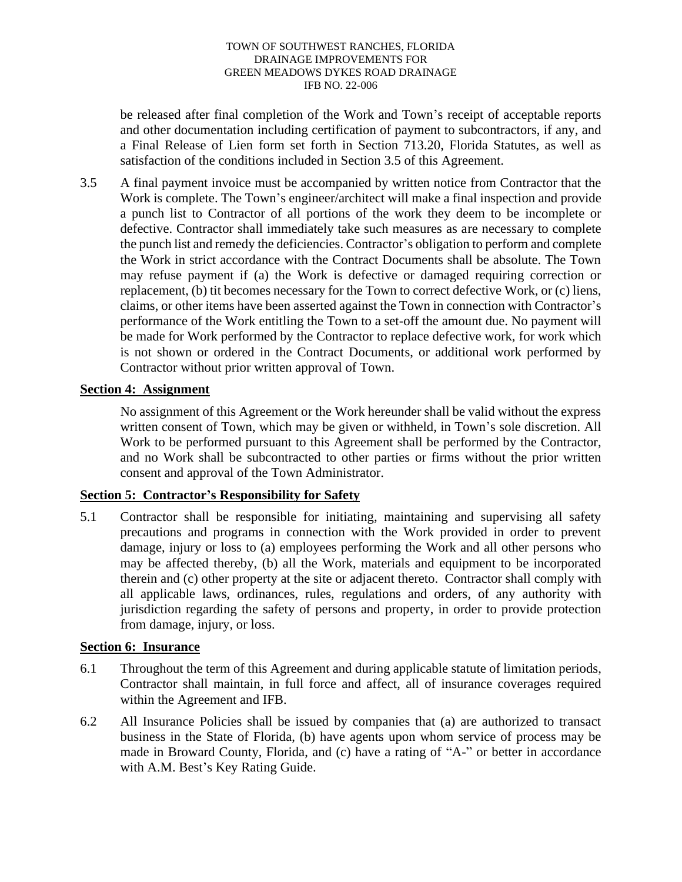be released after final completion of the Work and Town's receipt of acceptable reports and other documentation including certification of payment to subcontractors, if any, and a Final Release of Lien form set forth in Section 713.20, Florida Statutes, as well as satisfaction of the conditions included in Section 3.5 of this Agreement.

3.5 A final payment invoice must be accompanied by written notice from Contractor that the Work is complete. The Town's engineer/architect will make a final inspection and provide a punch list to Contractor of all portions of the work they deem to be incomplete or defective. Contractor shall immediately take such measures as are necessary to complete the punch list and remedy the deficiencies. Contractor's obligation to perform and complete the Work in strict accordance with the Contract Documents shall be absolute. The Town may refuse payment if (a) the Work is defective or damaged requiring correction or replacement, (b) tit becomes necessary for the Town to correct defective Work, or (c) liens, claims, or other items have been asserted against the Town in connection with Contractor's performance of the Work entitling the Town to a set-off the amount due. No payment will be made for Work performed by the Contractor to replace defective work, for work which is not shown or ordered in the Contract Documents, or additional work performed by Contractor without prior written approval of Town.

## **Section 4: Assignment**

No assignment of this Agreement or the Work hereunder shall be valid without the express written consent of Town, which may be given or withheld, in Town's sole discretion. All Work to be performed pursuant to this Agreement shall be performed by the Contractor, and no Work shall be subcontracted to other parties or firms without the prior written consent and approval of the Town Administrator.

## **Section 5: Contractor's Responsibility for Safety**

5.1 Contractor shall be responsible for initiating, maintaining and supervising all safety precautions and programs in connection with the Work provided in order to prevent damage, injury or loss to (a) employees performing the Work and all other persons who may be affected thereby, (b) all the Work, materials and equipment to be incorporated therein and (c) other property at the site or adjacent thereto. Contractor shall comply with all applicable laws, ordinances, rules, regulations and orders, of any authority with jurisdiction regarding the safety of persons and property, in order to provide protection from damage, injury, or loss.

### **Section 6: Insurance**

- 6.1 Throughout the term of this Agreement and during applicable statute of limitation periods, Contractor shall maintain, in full force and affect, all of insurance coverages required within the Agreement and IFB.
- 6.2 All Insurance Policies shall be issued by companies that (a) are authorized to transact business in the State of Florida, (b) have agents upon whom service of process may be made in Broward County, Florida, and (c) have a rating of "A-" or better in accordance with A.M. Best's Key Rating Guide.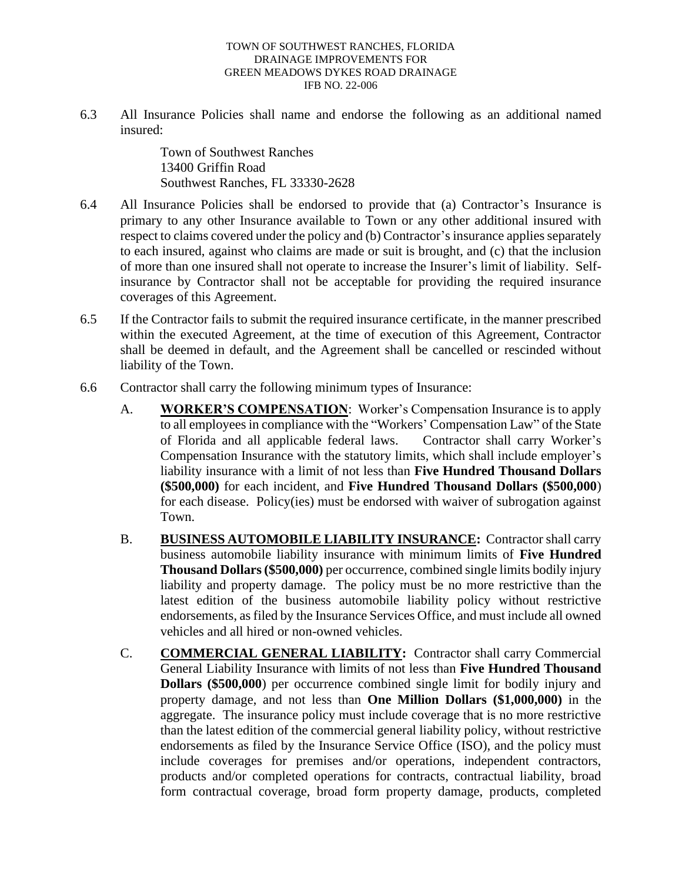6.3 All Insurance Policies shall name and endorse the following as an additional named insured:

> Town of Southwest Ranches 13400 Griffin Road Southwest Ranches, FL 33330-2628

- 6.4 All Insurance Policies shall be endorsed to provide that (a) Contractor's Insurance is primary to any other Insurance available to Town or any other additional insured with respect to claims covered under the policy and (b) Contractor's insurance applies separately to each insured, against who claims are made or suit is brought, and (c) that the inclusion of more than one insured shall not operate to increase the Insurer's limit of liability. Selfinsurance by Contractor shall not be acceptable for providing the required insurance coverages of this Agreement.
- 6.5 If the Contractor fails to submit the required insurance certificate, in the manner prescribed within the executed Agreement, at the time of execution of this Agreement, Contractor shall be deemed in default, and the Agreement shall be cancelled or rescinded without liability of the Town.
- 6.6 Contractor shall carry the following minimum types of Insurance:
	- A. **WORKER'S COMPENSATION**: Worker's Compensation Insurance is to apply to all employees in compliance with the "Workers' Compensation Law" of the State of Florida and all applicable federal laws. Contractor shall carry Worker's Compensation Insurance with the statutory limits, which shall include employer's liability insurance with a limit of not less than **Five Hundred Thousand Dollars (\$500,000)** for each incident, and **Five Hundred Thousand Dollars (\$500,000**) for each disease. Policy(ies) must be endorsed with waiver of subrogation against Town.
	- B. **BUSINESS AUTOMOBILE LIABILITY INSURANCE:** Contractor shall carry business automobile liability insurance with minimum limits of **Five Hundred Thousand Dollars (\$500,000)** per occurrence, combined single limits bodily injury liability and property damage. The policy must be no more restrictive than the latest edition of the business automobile liability policy without restrictive endorsements, as filed by the Insurance Services Office, and must include all owned vehicles and all hired or non-owned vehicles.
	- C. **COMMERCIAL GENERAL LIABILITY:** Contractor shall carry Commercial General Liability Insurance with limits of not less than **Five Hundred Thousand Dollars (\$500,000**) per occurrence combined single limit for bodily injury and property damage, and not less than **One Million Dollars (\$1,000,000)** in the aggregate. The insurance policy must include coverage that is no more restrictive than the latest edition of the commercial general liability policy, without restrictive endorsements as filed by the Insurance Service Office (ISO), and the policy must include coverages for premises and/or operations, independent contractors, products and/or completed operations for contracts, contractual liability, broad form contractual coverage, broad form property damage, products, completed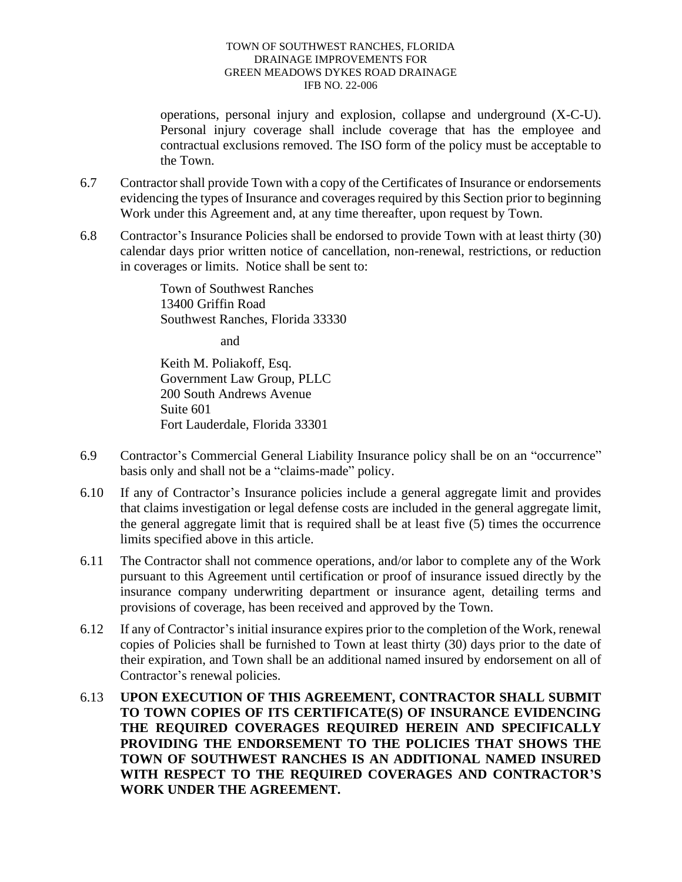operations, personal injury and explosion, collapse and underground (X-C-U). Personal injury coverage shall include coverage that has the employee and contractual exclusions removed. The ISO form of the policy must be acceptable to the Town.

- 6.7 Contractor shall provide Town with a copy of the Certificates of Insurance or endorsements evidencing the types of Insurance and coverages required by this Section prior to beginning Work under this Agreement and, at any time thereafter, upon request by Town.
- 6.8 Contractor's Insurance Policies shall be endorsed to provide Town with at least thirty (30) calendar days prior written notice of cancellation, non-renewal, restrictions, or reduction in coverages or limits. Notice shall be sent to:

Town of Southwest Ranches 13400 Griffin Road Southwest Ranches, Florida 33330

and

Keith M. Poliakoff, Esq. Government Law Group, PLLC 200 South Andrews Avenue Suite 601 Fort Lauderdale, Florida 33301

- 6.9 Contractor's Commercial General Liability Insurance policy shall be on an "occurrence" basis only and shall not be a "claims-made" policy.
- 6.10 If any of Contractor's Insurance policies include a general aggregate limit and provides that claims investigation or legal defense costs are included in the general aggregate limit, the general aggregate limit that is required shall be at least five (5) times the occurrence limits specified above in this article.
- 6.11 The Contractor shall not commence operations, and/or labor to complete any of the Work pursuant to this Agreement until certification or proof of insurance issued directly by the insurance company underwriting department or insurance agent, detailing terms and provisions of coverage, has been received and approved by the Town.
- 6.12 If any of Contractor's initial insurance expires prior to the completion of the Work, renewal copies of Policies shall be furnished to Town at least thirty (30) days prior to the date of their expiration, and Town shall be an additional named insured by endorsement on all of Contractor's renewal policies.
- 6.13 **UPON EXECUTION OF THIS AGREEMENT, CONTRACTOR SHALL SUBMIT TO TOWN COPIES OF ITS CERTIFICATE(S) OF INSURANCE EVIDENCING THE REQUIRED COVERAGES REQUIRED HEREIN AND SPECIFICALLY PROVIDING THE ENDORSEMENT TO THE POLICIES THAT SHOWS THE TOWN OF SOUTHWEST RANCHES IS AN ADDITIONAL NAMED INSURED WITH RESPECT TO THE REQUIRED COVERAGES AND CONTRACTOR'S WORK UNDER THE AGREEMENT.**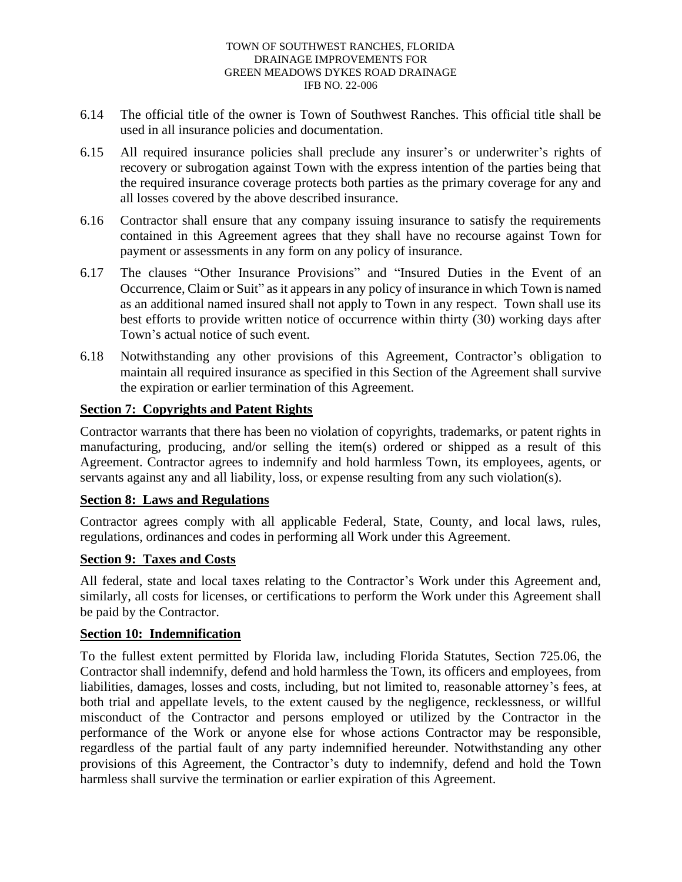- 6.14 The official title of the owner is Town of Southwest Ranches. This official title shall be used in all insurance policies and documentation.
- 6.15 All required insurance policies shall preclude any insurer's or underwriter's rights of recovery or subrogation against Town with the express intention of the parties being that the required insurance coverage protects both parties as the primary coverage for any and all losses covered by the above described insurance.
- 6.16 Contractor shall ensure that any company issuing insurance to satisfy the requirements contained in this Agreement agrees that they shall have no recourse against Town for payment or assessments in any form on any policy of insurance.
- 6.17 The clauses "Other Insurance Provisions" and "Insured Duties in the Event of an Occurrence, Claim or Suit" as it appears in any policy of insurance in which Town is named as an additional named insured shall not apply to Town in any respect. Town shall use its best efforts to provide written notice of occurrence within thirty (30) working days after Town's actual notice of such event.
- 6.18 Notwithstanding any other provisions of this Agreement, Contractor's obligation to maintain all required insurance as specified in this Section of the Agreement shall survive the expiration or earlier termination of this Agreement.

## **Section 7: Copyrights and Patent Rights**

Contractor warrants that there has been no violation of copyrights, trademarks, or patent rights in manufacturing, producing, and/or selling the item(s) ordered or shipped as a result of this Agreement. Contractor agrees to indemnify and hold harmless Town, its employees, agents, or servants against any and all liability, loss, or expense resulting from any such violation(s).

### **Section 8: Laws and Regulations**

Contractor agrees comply with all applicable Federal, State, County, and local laws, rules, regulations, ordinances and codes in performing all Work under this Agreement.

### **Section 9: Taxes and Costs**

All federal, state and local taxes relating to the Contractor's Work under this Agreement and, similarly, all costs for licenses, or certifications to perform the Work under this Agreement shall be paid by the Contractor.

### **Section 10: Indemnification**

To the fullest extent permitted by Florida law, including Florida Statutes, Section 725.06, the Contractor shall indemnify, defend and hold harmless the Town, its officers and employees, from liabilities, damages, losses and costs, including, but not limited to, reasonable attorney's fees, at both trial and appellate levels, to the extent caused by the negligence, recklessness, or willful misconduct of the Contractor and persons employed or utilized by the Contractor in the performance of the Work or anyone else for whose actions Contractor may be responsible, regardless of the partial fault of any party indemnified hereunder. Notwithstanding any other provisions of this Agreement, the Contractor's duty to indemnify, defend and hold the Town harmless shall survive the termination or earlier expiration of this Agreement.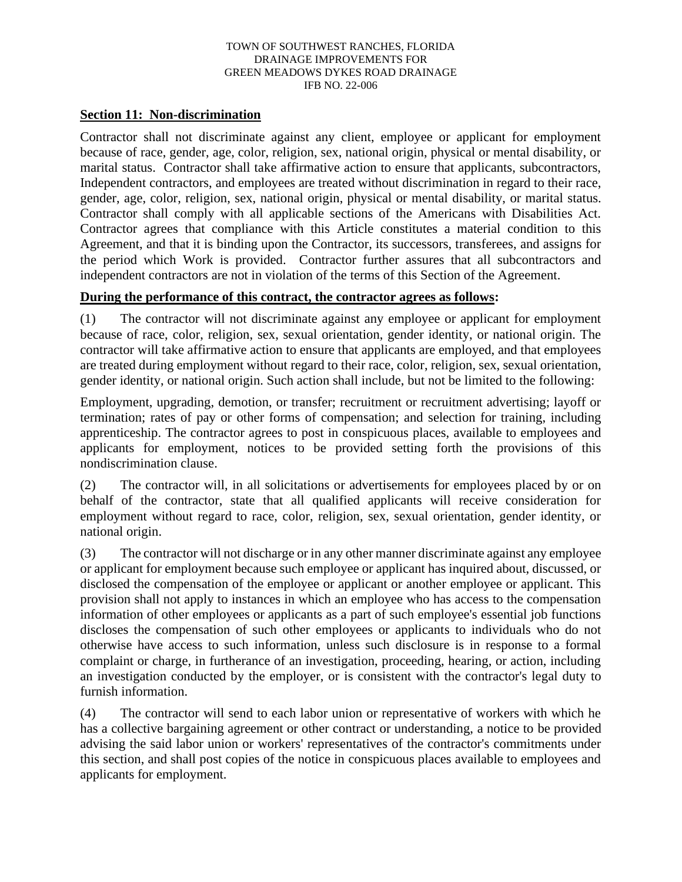### **Section 11: Non-discrimination**

Contractor shall not discriminate against any client, employee or applicant for employment because of race, gender, age, color, religion, sex, national origin, physical or mental disability, or marital status. Contractor shall take affirmative action to ensure that applicants, subcontractors, Independent contractors, and employees are treated without discrimination in regard to their race, gender, age, color, religion, sex, national origin, physical or mental disability, or marital status. Contractor shall comply with all applicable sections of the Americans with Disabilities Act. Contractor agrees that compliance with this Article constitutes a material condition to this Agreement, and that it is binding upon the Contractor, its successors, transferees, and assigns for the period which Work is provided. Contractor further assures that all subcontractors and independent contractors are not in violation of the terms of this Section of the Agreement.

## **During the performance of this contract, the contractor agrees as follows:**

(1) The contractor will not discriminate against any employee or applicant for employment because of race, color, religion, sex, sexual orientation, gender identity, or national origin. The contractor will take affirmative action to ensure that applicants are employed, and that employees are treated during employment without regard to their race, color, religion, sex, sexual orientation, gender identity, or national origin. Such action shall include, but not be limited to the following:

Employment, upgrading, demotion, or transfer; recruitment or recruitment advertising; layoff or termination; rates of pay or other forms of compensation; and selection for training, including apprenticeship. The contractor agrees to post in conspicuous places, available to employees and applicants for employment, notices to be provided setting forth the provisions of this nondiscrimination clause.

(2) The contractor will, in all solicitations or advertisements for employees placed by or on behalf of the contractor, state that all qualified applicants will receive consideration for employment without regard to race, color, religion, sex, sexual orientation, gender identity, or national origin.

(3) The contractor will not discharge or in any other manner discriminate against any employee or applicant for employment because such employee or applicant has inquired about, discussed, or disclosed the compensation of the employee or applicant or another employee or applicant. This provision shall not apply to instances in which an employee who has access to the compensation information of other employees or applicants as a part of such employee's essential job functions discloses the compensation of such other employees or applicants to individuals who do not otherwise have access to such information, unless such disclosure is in response to a formal complaint or charge, in furtherance of an investigation, proceeding, hearing, or action, including an investigation conducted by the employer, or is consistent with the contractor's legal duty to furnish information.

(4) The contractor will send to each labor union or representative of workers with which he has a collective bargaining agreement or other contract or understanding, a notice to be provided advising the said labor union or workers' representatives of the contractor's commitments under this section, and shall post copies of the notice in conspicuous places available to employees and applicants for employment.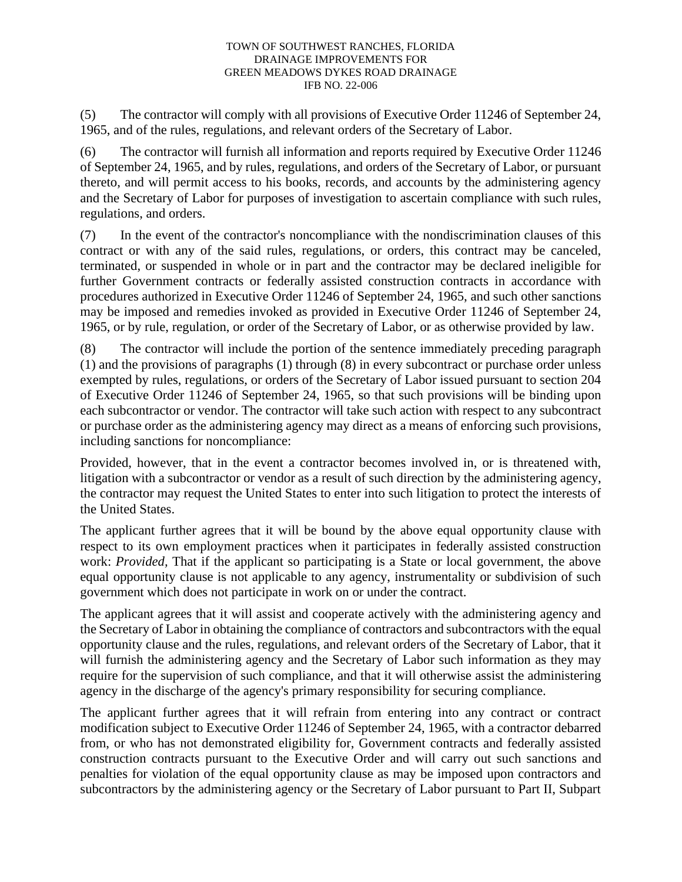(5) The contractor will comply with all provisions of Executive Order 11246 of September 24, 1965, and of the rules, regulations, and relevant orders of the Secretary of Labor.

(6) The contractor will furnish all information and reports required by Executive Order 11246 of September 24, 1965, and by rules, regulations, and orders of the Secretary of Labor, or pursuant thereto, and will permit access to his books, records, and accounts by the administering agency and the Secretary of Labor for purposes of investigation to ascertain compliance with such rules, regulations, and orders.

(7) In the event of the contractor's noncompliance with the nondiscrimination clauses of this contract or with any of the said rules, regulations, or orders, this contract may be canceled, terminated, or suspended in whole or in part and the contractor may be declared ineligible for further Government contracts or federally assisted construction contracts in accordance with procedures authorized in Executive Order 11246 of September 24, 1965, and such other sanctions may be imposed and remedies invoked as provided in Executive Order 11246 of September 24, 1965, or by rule, regulation, or order of the Secretary of Labor, or as otherwise provided by law.

(8) The contractor will include the portion of the sentence immediately preceding paragraph (1) and the provisions of paragraphs (1) through (8) in every subcontract or purchase order unless exempted by rules, regulations, or orders of the Secretary of Labor issued pursuant to section 204 of Executive Order 11246 of September 24, 1965, so that such provisions will be binding upon each subcontractor or vendor. The contractor will take such action with respect to any subcontract or purchase order as the administering agency may direct as a means of enforcing such provisions, including sanctions for noncompliance:

Provided, however, that in the event a contractor becomes involved in, or is threatened with, litigation with a subcontractor or vendor as a result of such direction by the administering agency, the contractor may request the United States to enter into such litigation to protect the interests of the United States.

The applicant further agrees that it will be bound by the above equal opportunity clause with respect to its own employment practices when it participates in federally assisted construction work: *Provided,* That if the applicant so participating is a State or local government, the above equal opportunity clause is not applicable to any agency, instrumentality or subdivision of such government which does not participate in work on or under the contract.

The applicant agrees that it will assist and cooperate actively with the administering agency and the Secretary of Labor in obtaining the compliance of contractors and subcontractors with the equal opportunity clause and the rules, regulations, and relevant orders of the Secretary of Labor, that it will furnish the administering agency and the Secretary of Labor such information as they may require for the supervision of such compliance, and that it will otherwise assist the administering agency in the discharge of the agency's primary responsibility for securing compliance.

The applicant further agrees that it will refrain from entering into any contract or contract modification subject to Executive Order 11246 of September 24, 1965, with a contractor debarred from, or who has not demonstrated eligibility for, Government contracts and federally assisted construction contracts pursuant to the Executive Order and will carry out such sanctions and penalties for violation of the equal opportunity clause as may be imposed upon contractors and subcontractors by the administering agency or the Secretary of Labor pursuant to Part II, Subpart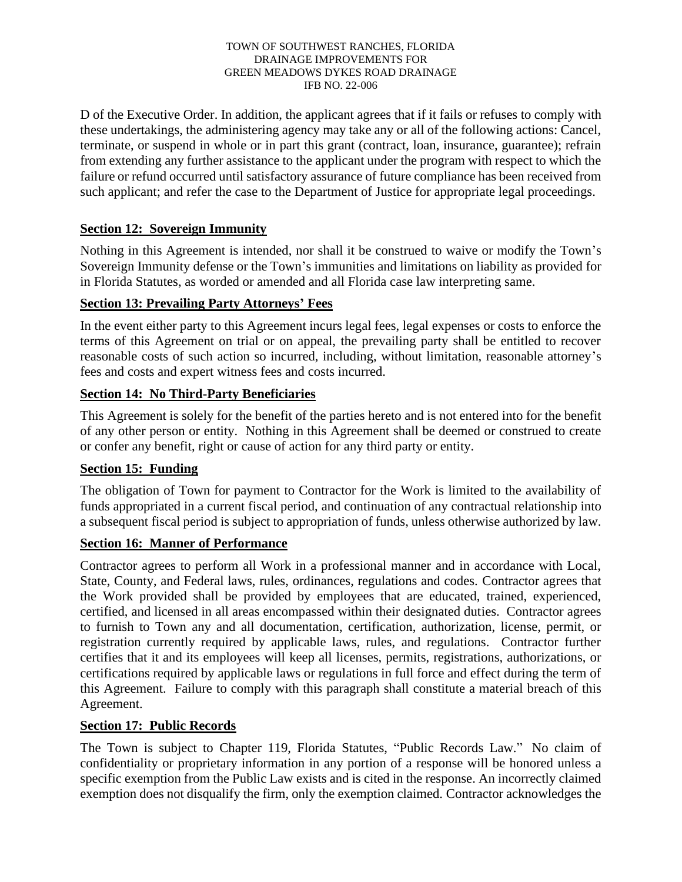D of the Executive Order. In addition, the applicant agrees that if it fails or refuses to comply with these undertakings, the administering agency may take any or all of the following actions: Cancel, terminate, or suspend in whole or in part this grant (contract, loan, insurance, guarantee); refrain from extending any further assistance to the applicant under the program with respect to which the failure or refund occurred until satisfactory assurance of future compliance has been received from such applicant; and refer the case to the Department of Justice for appropriate legal proceedings.

## **Section 12: Sovereign Immunity**

Nothing in this Agreement is intended, nor shall it be construed to waive or modify the Town's Sovereign Immunity defense or the Town's immunities and limitations on liability as provided for in Florida Statutes, as worded or amended and all Florida case law interpreting same.

## **Section 13: Prevailing Party Attorneys' Fees**

In the event either party to this Agreement incurs legal fees, legal expenses or costs to enforce the terms of this Agreement on trial or on appeal, the prevailing party shall be entitled to recover reasonable costs of such action so incurred, including, without limitation, reasonable attorney's fees and costs and expert witness fees and costs incurred.

## **Section 14: No Third-Party Beneficiaries**

This Agreement is solely for the benefit of the parties hereto and is not entered into for the benefit of any other person or entity. Nothing in this Agreement shall be deemed or construed to create or confer any benefit, right or cause of action for any third party or entity.

## **Section 15: Funding**

The obligation of Town for payment to Contractor for the Work is limited to the availability of funds appropriated in a current fiscal period, and continuation of any contractual relationship into a subsequent fiscal period is subject to appropriation of funds, unless otherwise authorized by law.

## **Section 16: Manner of Performance**

Contractor agrees to perform all Work in a professional manner and in accordance with Local, State, County, and Federal laws, rules, ordinances, regulations and codes. Contractor agrees that the Work provided shall be provided by employees that are educated, trained, experienced, certified, and licensed in all areas encompassed within their designated duties. Contractor agrees to furnish to Town any and all documentation, certification, authorization, license, permit, or registration currently required by applicable laws, rules, and regulations. Contractor further certifies that it and its employees will keep all licenses, permits, registrations, authorizations, or certifications required by applicable laws or regulations in full force and effect during the term of this Agreement. Failure to comply with this paragraph shall constitute a material breach of this Agreement.

## **Section 17: Public Records**

The Town is subject to Chapter 119, Florida Statutes, "Public Records Law." No claim of confidentiality or proprietary information in any portion of a response will be honored unless a specific exemption from the Public Law exists and is cited in the response. An incorrectly claimed exemption does not disqualify the firm, only the exemption claimed. Contractor acknowledges the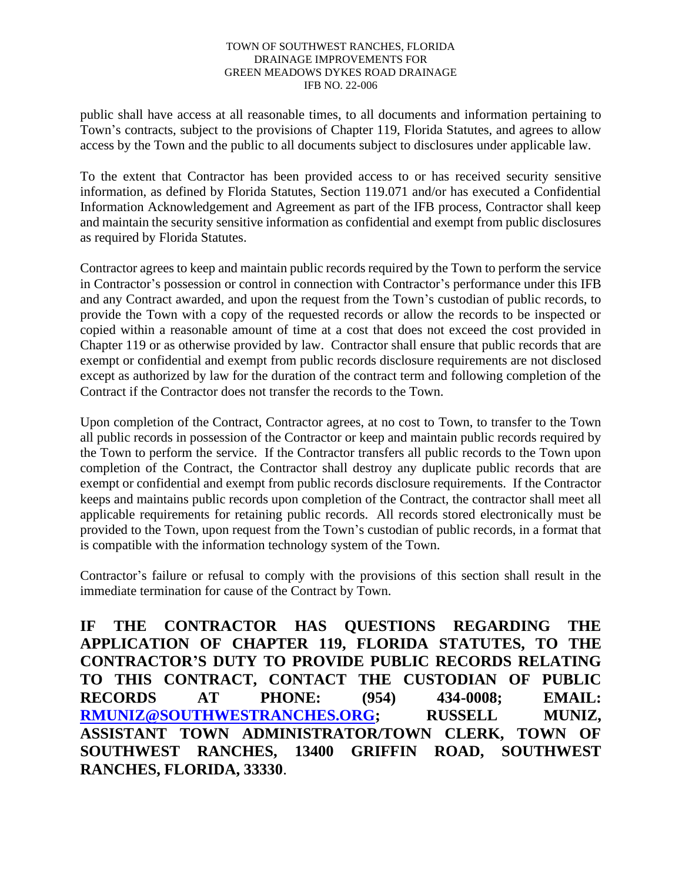public shall have access at all reasonable times, to all documents and information pertaining to Town's contracts, subject to the provisions of Chapter 119, Florida Statutes, and agrees to allow access by the Town and the public to all documents subject to disclosures under applicable law.

To the extent that Contractor has been provided access to or has received security sensitive information, as defined by Florida Statutes, Section 119.071 and/or has executed a Confidential Information Acknowledgement and Agreement as part of the IFB process, Contractor shall keep and maintain the security sensitive information as confidential and exempt from public disclosures as required by Florida Statutes.

Contractor agrees to keep and maintain public records required by the Town to perform the service in Contractor's possession or control in connection with Contractor's performance under this IFB and any Contract awarded, and upon the request from the Town's custodian of public records, to provide the Town with a copy of the requested records or allow the records to be inspected or copied within a reasonable amount of time at a cost that does not exceed the cost provided in Chapter 119 or as otherwise provided by law. Contractor shall ensure that public records that are exempt or confidential and exempt from public records disclosure requirements are not disclosed except as authorized by law for the duration of the contract term and following completion of the Contract if the Contractor does not transfer the records to the Town.

Upon completion of the Contract, Contractor agrees, at no cost to Town, to transfer to the Town all public records in possession of the Contractor or keep and maintain public records required by the Town to perform the service. If the Contractor transfers all public records to the Town upon completion of the Contract, the Contractor shall destroy any duplicate public records that are exempt or confidential and exempt from public records disclosure requirements. If the Contractor keeps and maintains public records upon completion of the Contract, the contractor shall meet all applicable requirements for retaining public records. All records stored electronically must be provided to the Town, upon request from the Town's custodian of public records, in a format that is compatible with the information technology system of the Town.

Contractor's failure or refusal to comply with the provisions of this section shall result in the immediate termination for cause of the Contract by Town.

**IF THE CONTRACTOR HAS QUESTIONS REGARDING THE APPLICATION OF CHAPTER 119, FLORIDA STATUTES, TO THE CONTRACTOR'S DUTY TO PROVIDE PUBLIC RECORDS RELATING TO THIS CONTRACT, CONTACT THE CUSTODIAN OF PUBLIC RECORDS AT PHONE: (954) 434-0008; EMAIL: RMUNIZ@SOUTHWESTRANCHES.ORG; RUSSELL MUNIZ, ASSISTANT TOWN ADMINISTRATOR/TOWN CLERK, TOWN OF SOUTHWEST RANCHES, 13400 GRIFFIN ROAD, SOUTHWEST RANCHES, FLORIDA, 33330**.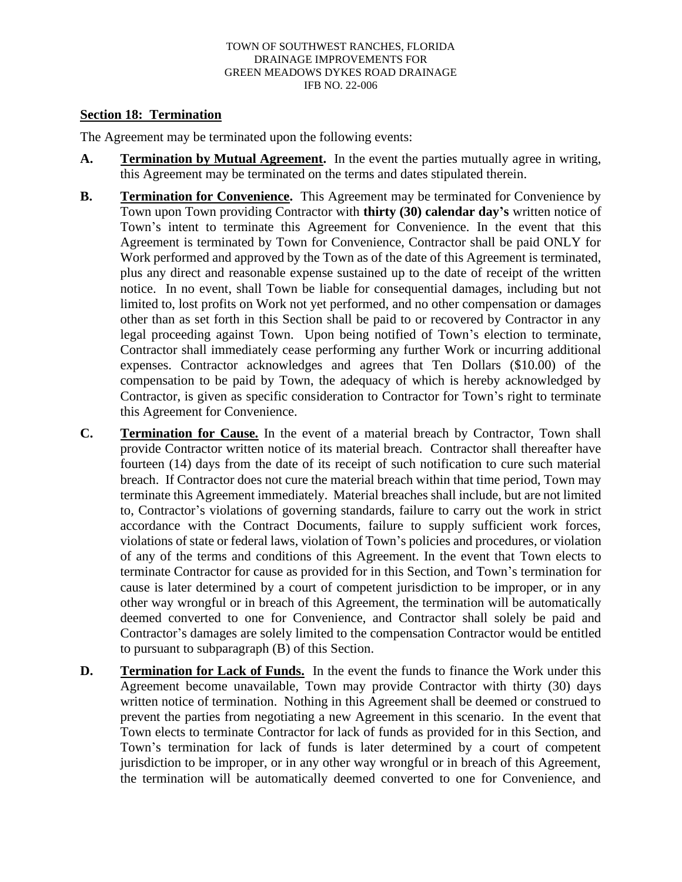### **Section 18: Termination**

The Agreement may be terminated upon the following events:

- **A. Termination by Mutual Agreement.** In the event the parties mutually agree in writing, this Agreement may be terminated on the terms and dates stipulated therein.
- **B. Termination for Convenience.** This Agreement may be terminated for Convenience by Town upon Town providing Contractor with **thirty (30) calendar day's** written notice of Town's intent to terminate this Agreement for Convenience. In the event that this Agreement is terminated by Town for Convenience, Contractor shall be paid ONLY for Work performed and approved by the Town as of the date of this Agreement is terminated, plus any direct and reasonable expense sustained up to the date of receipt of the written notice. In no event, shall Town be liable for consequential damages, including but not limited to, lost profits on Work not yet performed, and no other compensation or damages other than as set forth in this Section shall be paid to or recovered by Contractor in any legal proceeding against Town. Upon being notified of Town's election to terminate, Contractor shall immediately cease performing any further Work or incurring additional expenses. Contractor acknowledges and agrees that Ten Dollars (\$10.00) of the compensation to be paid by Town, the adequacy of which is hereby acknowledged by Contractor, is given as specific consideration to Contractor for Town's right to terminate this Agreement for Convenience.
- **C. Termination for Cause.** In the event of a material breach by Contractor, Town shall provide Contractor written notice of its material breach. Contractor shall thereafter have fourteen (14) days from the date of its receipt of such notification to cure such material breach. If Contractor does not cure the material breach within that time period, Town may terminate this Agreement immediately. Material breaches shall include, but are not limited to, Contractor's violations of governing standards, failure to carry out the work in strict accordance with the Contract Documents, failure to supply sufficient work forces, violations of state or federal laws, violation of Town's policies and procedures, or violation of any of the terms and conditions of this Agreement. In the event that Town elects to terminate Contractor for cause as provided for in this Section, and Town's termination for cause is later determined by a court of competent jurisdiction to be improper, or in any other way wrongful or in breach of this Agreement, the termination will be automatically deemed converted to one for Convenience, and Contractor shall solely be paid and Contractor's damages are solely limited to the compensation Contractor would be entitled to pursuant to subparagraph (B) of this Section.
- **D. Termination for Lack of Funds.** In the event the funds to finance the Work under this Agreement become unavailable, Town may provide Contractor with thirty (30) days written notice of termination. Nothing in this Agreement shall be deemed or construed to prevent the parties from negotiating a new Agreement in this scenario. In the event that Town elects to terminate Contractor for lack of funds as provided for in this Section, and Town's termination for lack of funds is later determined by a court of competent jurisdiction to be improper, or in any other way wrongful or in breach of this Agreement, the termination will be automatically deemed converted to one for Convenience, and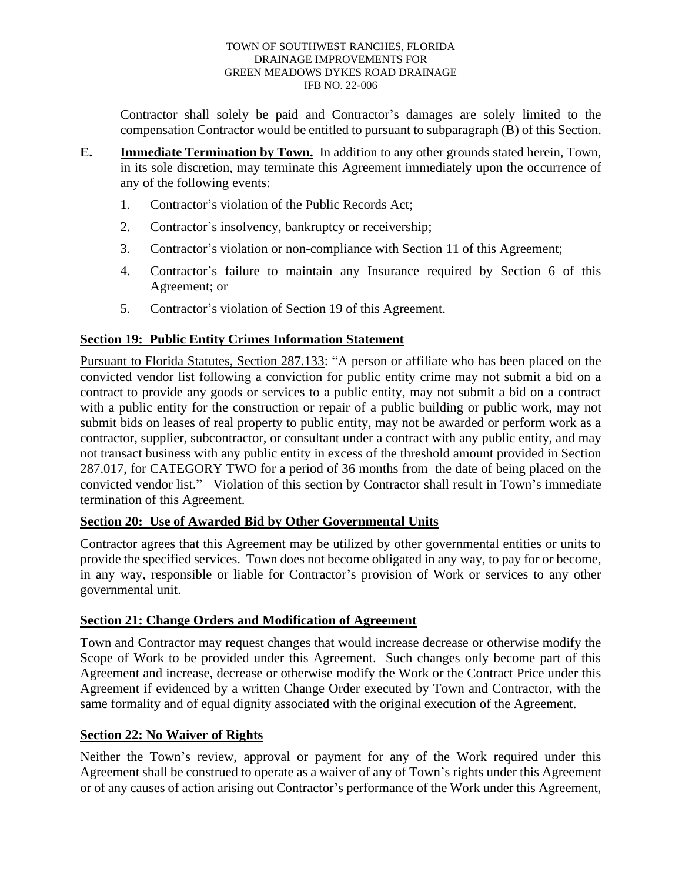Contractor shall solely be paid and Contractor's damages are solely limited to the compensation Contractor would be entitled to pursuant to subparagraph (B) of this Section.

- **E. Immediate Termination by Town.** In addition to any other grounds stated herein, Town, in its sole discretion, may terminate this Agreement immediately upon the occurrence of any of the following events:
	- 1. Contractor's violation of the Public Records Act;
	- 2. Contractor's insolvency, bankruptcy or receivership;
	- 3. Contractor's violation or non-compliance with Section 11 of this Agreement;
	- 4. Contractor's failure to maintain any Insurance required by Section 6 of this Agreement; or
	- 5. Contractor's violation of Section 19 of this Agreement.

## **Section 19: Public Entity Crimes Information Statement**

Pursuant to Florida Statutes, Section 287.133: "A person or affiliate who has been placed on the convicted vendor list following a conviction for public entity crime may not submit a bid on a contract to provide any goods or services to a public entity, may not submit a bid on a contract with a public entity for the construction or repair of a public building or public work, may not submit bids on leases of real property to public entity, may not be awarded or perform work as a contractor, supplier, subcontractor, or consultant under a contract with any public entity, and may not transact business with any public entity in excess of the threshold amount provided in Section 287.017, for CATEGORY TWO for a period of 36 months from the date of being placed on the convicted vendor list." Violation of this section by Contractor shall result in Town's immediate termination of this Agreement.

### **Section 20: Use of Awarded Bid by Other Governmental Units**

Contractor agrees that this Agreement may be utilized by other governmental entities or units to provide the specified services. Town does not become obligated in any way, to pay for or become, in any way, responsible or liable for Contractor's provision of Work or services to any other governmental unit.

### **Section 21: Change Orders and Modification of Agreement**

Town and Contractor may request changes that would increase decrease or otherwise modify the Scope of Work to be provided under this Agreement. Such changes only become part of this Agreement and increase, decrease or otherwise modify the Work or the Contract Price under this Agreement if evidenced by a written Change Order executed by Town and Contractor, with the same formality and of equal dignity associated with the original execution of the Agreement.

### **Section 22: No Waiver of Rights**

Neither the Town's review, approval or payment for any of the Work required under this Agreement shall be construed to operate as a waiver of any of Town's rights under this Agreement or of any causes of action arising out Contractor's performance of the Work under this Agreement,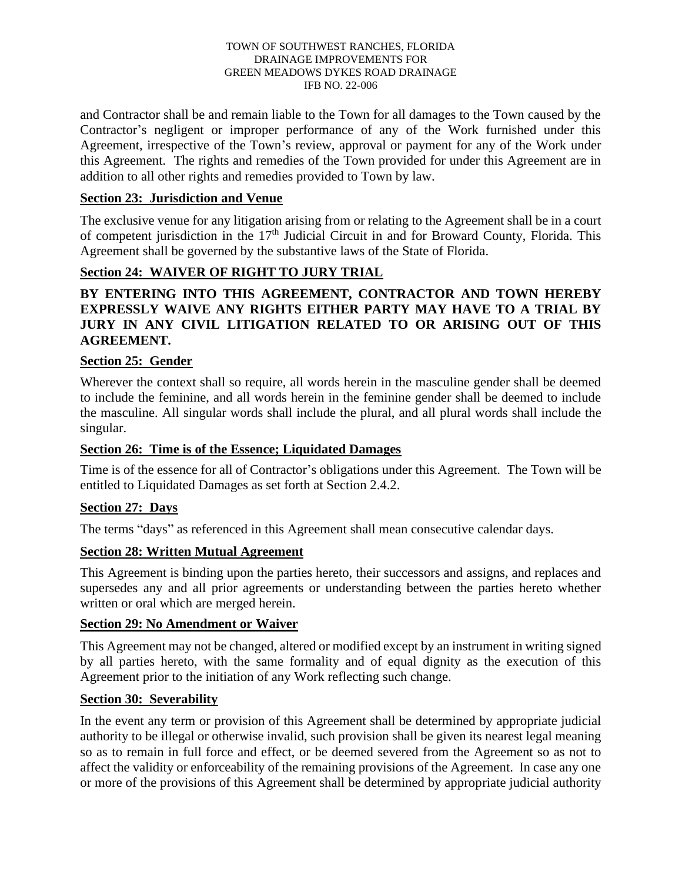and Contractor shall be and remain liable to the Town for all damages to the Town caused by the Contractor's negligent or improper performance of any of the Work furnished under this Agreement, irrespective of the Town's review, approval or payment for any of the Work under this Agreement. The rights and remedies of the Town provided for under this Agreement are in addition to all other rights and remedies provided to Town by law.

## **Section 23: Jurisdiction and Venue**

The exclusive venue for any litigation arising from or relating to the Agreement shall be in a court of competent jurisdiction in the 17<sup>th</sup> Judicial Circuit in and for Broward County, Florida. This Agreement shall be governed by the substantive laws of the State of Florida.

## **Section 24: WAIVER OF RIGHT TO JURY TRIAL**

## **BY ENTERING INTO THIS AGREEMENT, CONTRACTOR AND TOWN HEREBY EXPRESSLY WAIVE ANY RIGHTS EITHER PARTY MAY HAVE TO A TRIAL BY JURY IN ANY CIVIL LITIGATION RELATED TO OR ARISING OUT OF THIS AGREEMENT.**

## **Section 25: Gender**

Wherever the context shall so require, all words herein in the masculine gender shall be deemed to include the feminine, and all words herein in the feminine gender shall be deemed to include the masculine. All singular words shall include the plural, and all plural words shall include the singular.

### **Section 26: Time is of the Essence; Liquidated Damages**

Time is of the essence for all of Contractor's obligations under this Agreement. The Town will be entitled to Liquidated Damages as set forth at Section 2.4.2.

### **Section 27: Days**

The terms "days" as referenced in this Agreement shall mean consecutive calendar days.

## **Section 28: Written Mutual Agreement**

This Agreement is binding upon the parties hereto, their successors and assigns, and replaces and supersedes any and all prior agreements or understanding between the parties hereto whether written or oral which are merged herein.

## **Section 29: No Amendment or Waiver**

This Agreement may not be changed, altered or modified except by an instrument in writing signed by all parties hereto, with the same formality and of equal dignity as the execution of this Agreement prior to the initiation of any Work reflecting such change.

### **Section 30: Severability**

In the event any term or provision of this Agreement shall be determined by appropriate judicial authority to be illegal or otherwise invalid, such provision shall be given its nearest legal meaning so as to remain in full force and effect, or be deemed severed from the Agreement so as not to affect the validity or enforceability of the remaining provisions of the Agreement. In case any one or more of the provisions of this Agreement shall be determined by appropriate judicial authority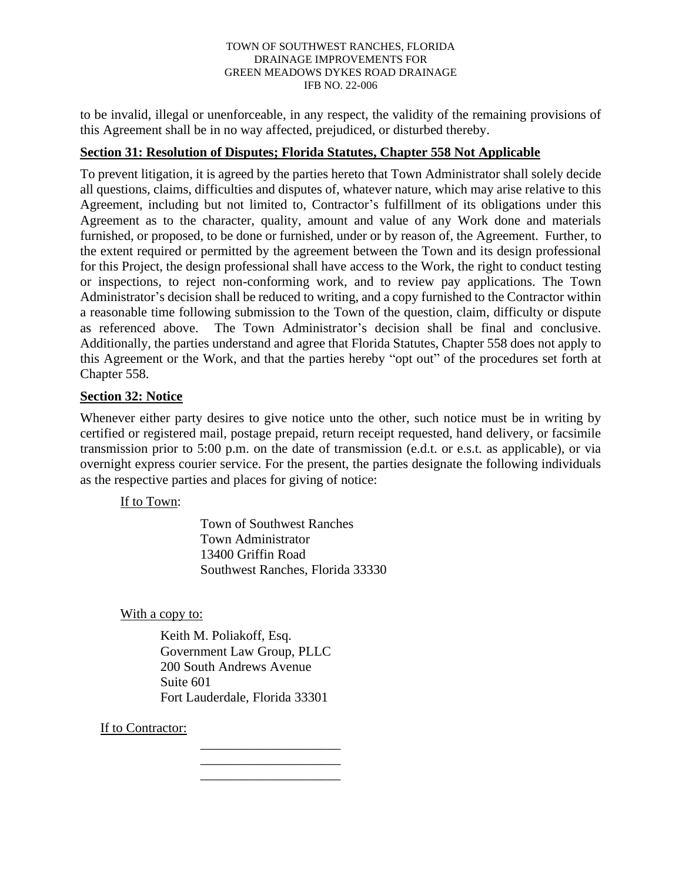to be invalid, illegal or unenforceable, in any respect, the validity of the remaining provisions of this Agreement shall be in no way affected, prejudiced, or disturbed thereby.

## **Section 31: Resolution of Disputes; Florida Statutes, Chapter 558 Not Applicable**

To prevent litigation, it is agreed by the parties hereto that Town Administrator shall solely decide all questions, claims, difficulties and disputes of, whatever nature, which may arise relative to this Agreement, including but not limited to, Contractor's fulfillment of its obligations under this Agreement as to the character, quality, amount and value of any Work done and materials furnished, or proposed, to be done or furnished, under or by reason of, the Agreement. Further, to the extent required or permitted by the agreement between the Town and its design professional for this Project, the design professional shall have access to the Work, the right to conduct testing or inspections, to reject non-conforming work, and to review pay applications. The Town Administrator's decision shall be reduced to writing, and a copy furnished to the Contractor within a reasonable time following submission to the Town of the question, claim, difficulty or dispute as referenced above. The Town Administrator's decision shall be final and conclusive. Additionally, the parties understand and agree that Florida Statutes, Chapter 558 does not apply to this Agreement or the Work, and that the parties hereby "opt out" of the procedures set forth at Chapter 558.

## **Section 32: Notice**

Whenever either party desires to give notice unto the other, such notice must be in writing by certified or registered mail, postage prepaid, return receipt requested, hand delivery, or facsimile transmission prior to 5:00 p.m. on the date of transmission (e.d.t. or e.s.t. as applicable), or via overnight express courier service. For the present, the parties designate the following individuals as the respective parties and places for giving of notice:

If to Town:

Town of Southwest Ranches Town Administrator 13400 Griffin Road Southwest Ranches, Florida 33330

With a copy to:

Keith M. Poliakoff, Esq. Government Law Group, PLLC 200 South Andrews Avenue Suite 601 Fort Lauderdale, Florida 33301

> \_\_\_\_\_\_\_\_\_\_\_\_\_\_\_\_\_\_\_\_\_ \_\_\_\_\_\_\_\_\_\_\_\_\_\_\_\_\_\_\_\_\_ \_\_\_\_\_\_\_\_\_\_\_\_\_\_\_\_\_\_\_\_\_

If to Contractor: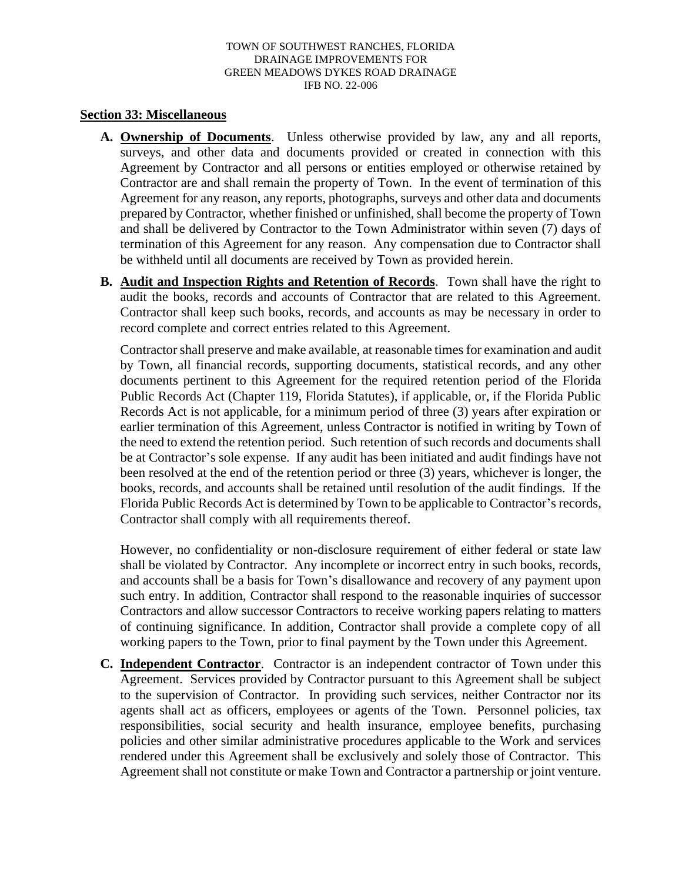### **Section 33: Miscellaneous**

- **A. Ownership of Documents**. Unless otherwise provided by law, any and all reports, surveys, and other data and documents provided or created in connection with this Agreement by Contractor and all persons or entities employed or otherwise retained by Contractor are and shall remain the property of Town. In the event of termination of this Agreement for any reason, any reports, photographs, surveys and other data and documents prepared by Contractor, whether finished or unfinished, shall become the property of Town and shall be delivered by Contractor to the Town Administrator within seven (7) days of termination of this Agreement for any reason. Any compensation due to Contractor shall be withheld until all documents are received by Town as provided herein.
- **B. Audit and Inspection Rights and Retention of Records**. Town shall have the right to audit the books, records and accounts of Contractor that are related to this Agreement. Contractor shall keep such books, records, and accounts as may be necessary in order to record complete and correct entries related to this Agreement.

Contractor shall preserve and make available, at reasonable times for examination and audit by Town, all financial records, supporting documents, statistical records, and any other documents pertinent to this Agreement for the required retention period of the Florida Public Records Act (Chapter 119, Florida Statutes), if applicable, or, if the Florida Public Records Act is not applicable, for a minimum period of three (3) years after expiration or earlier termination of this Agreement, unless Contractor is notified in writing by Town of the need to extend the retention period. Such retention of such records and documents shall be at Contractor's sole expense. If any audit has been initiated and audit findings have not been resolved at the end of the retention period or three (3) years, whichever is longer, the books, records, and accounts shall be retained until resolution of the audit findings. If the Florida Public Records Act is determined by Town to be applicable to Contractor's records, Contractor shall comply with all requirements thereof.

However, no confidentiality or non-disclosure requirement of either federal or state law shall be violated by Contractor. Any incomplete or incorrect entry in such books, records, and accounts shall be a basis for Town's disallowance and recovery of any payment upon such entry. In addition, Contractor shall respond to the reasonable inquiries of successor Contractors and allow successor Contractors to receive working papers relating to matters of continuing significance. In addition, Contractor shall provide a complete copy of all working papers to the Town, prior to final payment by the Town under this Agreement.

**C. Independent Contractor**. Contractor is an independent contractor of Town under this Agreement. Services provided by Contractor pursuant to this Agreement shall be subject to the supervision of Contractor. In providing such services, neither Contractor nor its agents shall act as officers, employees or agents of the Town. Personnel policies, tax responsibilities, social security and health insurance, employee benefits, purchasing policies and other similar administrative procedures applicable to the Work and services rendered under this Agreement shall be exclusively and solely those of Contractor. This Agreement shall not constitute or make Town and Contractor a partnership or joint venture.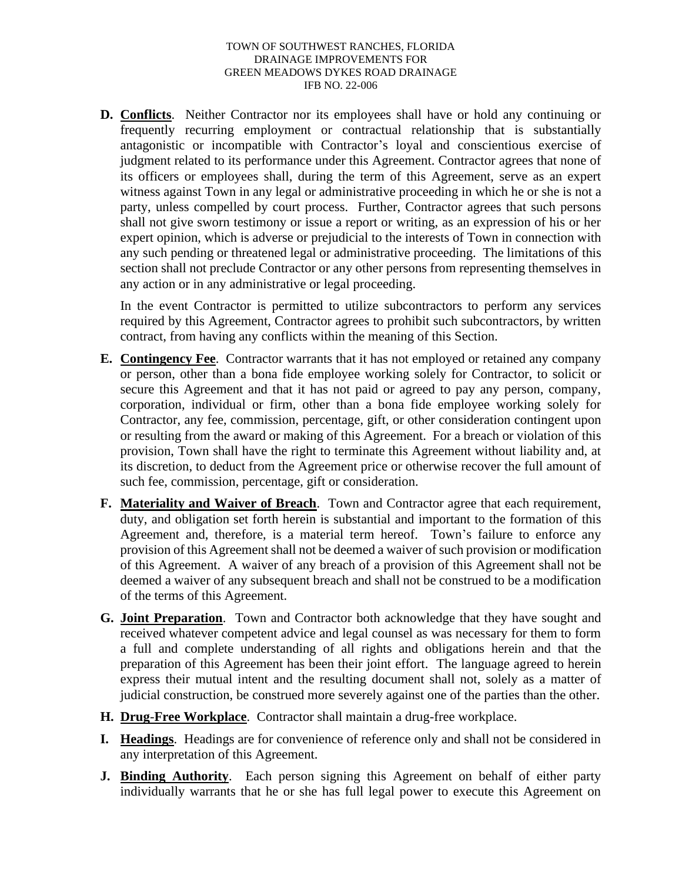**D. Conflicts**. Neither Contractor nor its employees shall have or hold any continuing or frequently recurring employment or contractual relationship that is substantially antagonistic or incompatible with Contractor's loyal and conscientious exercise of judgment related to its performance under this Agreement. Contractor agrees that none of its officers or employees shall, during the term of this Agreement, serve as an expert witness against Town in any legal or administrative proceeding in which he or she is not a party, unless compelled by court process. Further, Contractor agrees that such persons shall not give sworn testimony or issue a report or writing, as an expression of his or her expert opinion, which is adverse or prejudicial to the interests of Town in connection with any such pending or threatened legal or administrative proceeding. The limitations of this section shall not preclude Contractor or any other persons from representing themselves in any action or in any administrative or legal proceeding.

In the event Contractor is permitted to utilize subcontractors to perform any services required by this Agreement, Contractor agrees to prohibit such subcontractors, by written contract, from having any conflicts within the meaning of this Section.

- **E. Contingency Fee**. Contractor warrants that it has not employed or retained any company or person, other than a bona fide employee working solely for Contractor, to solicit or secure this Agreement and that it has not paid or agreed to pay any person, company, corporation, individual or firm, other than a bona fide employee working solely for Contractor, any fee, commission, percentage, gift, or other consideration contingent upon or resulting from the award or making of this Agreement. For a breach or violation of this provision, Town shall have the right to terminate this Agreement without liability and, at its discretion, to deduct from the Agreement price or otherwise recover the full amount of such fee, commission, percentage, gift or consideration.
- **F. Materiality and Waiver of Breach**. Town and Contractor agree that each requirement, duty, and obligation set forth herein is substantial and important to the formation of this Agreement and, therefore, is a material term hereof. Town's failure to enforce any provision of this Agreement shall not be deemed a waiver of such provision or modification of this Agreement. A waiver of any breach of a provision of this Agreement shall not be deemed a waiver of any subsequent breach and shall not be construed to be a modification of the terms of this Agreement.
- **G. Joint Preparation**. Town and Contractor both acknowledge that they have sought and received whatever competent advice and legal counsel as was necessary for them to form a full and complete understanding of all rights and obligations herein and that the preparation of this Agreement has been their joint effort. The language agreed to herein express their mutual intent and the resulting document shall not, solely as a matter of judicial construction, be construed more severely against one of the parties than the other.
- **H. Drug**-**Free Workplace**. Contractor shall maintain a drug-free workplace.
- **I. Headings**. Headings are for convenience of reference only and shall not be considered in any interpretation of this Agreement.
- **J. Binding Authority**. Each person signing this Agreement on behalf of either party individually warrants that he or she has full legal power to execute this Agreement on